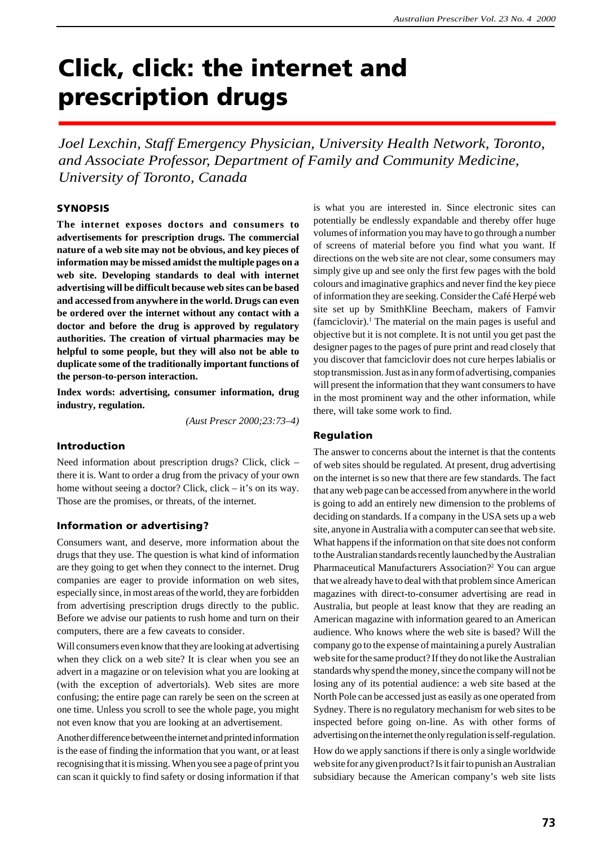# **Click, click: the internet and prescription drugs**

*Joel Lexchin, Staff Emergency Physician, University Health Network, Toronto, and Associate Professor, Department of Family and Community Medicine, University of Toronto, Canada*

#### **SYNOPSIS**

**The internet exposes doctors and consumers to advertisements for prescription drugs. The commercial nature of a web site may not be obvious, and key pieces of information may be missed amidst the multiple pages on a web site. Developing standards to deal with internet advertising will be difficult because web sites can be based and accessed from anywhere in the world. Drugs can even be ordered over the internet without any contact with a doctor and before the drug is approved by regulatory authorities. The creation of virtual pharmacies may be helpful to some people, but they will also not be able to duplicate some of the traditionally important functions of the person-to-person interaction.**

**Index words: advertising, consumer information, drug industry, regulation.**

*(Aust Prescr 2000;23:73–4)*

# **Introduction**

Need information about prescription drugs? Click, click – there it is. Want to order a drug from the privacy of your own home without seeing a doctor? Click, click – it's on its way. Those are the promises, or threats, of the internet.

#### **Information or advertising?**

Consumers want, and deserve, more information about the drugs that they use. The question is what kind of information are they going to get when they connect to the internet. Drug companies are eager to provide information on web sites, especially since, in most areas of the world, they are forbidden from advertising prescription drugs directly to the public. Before we advise our patients to rush home and turn on their computers, there are a few caveats to consider.

Will consumers even know that they are looking at advertising when they click on a web site? It is clear when you see an advert in a magazine or on television what you are looking at (with the exception of advertorials). Web sites are more confusing; the entire page can rarely be seen on the screen at one time. Unless you scroll to see the whole page, you might not even know that you are looking at an advertisement.

Another difference between the internet and printed information is the ease of finding the information that you want, or at least recognising that it is missing. When you see a page of print you can scan it quickly to find safety or dosing information if that is what you are interested in. Since electronic sites can potentially be endlessly expandable and thereby offer huge volumes of information you may have to go through a number of screens of material before you find what you want. If directions on the web site are not clear, some consumers may simply give up and see only the first few pages with the bold colours and imaginative graphics and never find the key piece of information they are seeking. Consider the Café Herpé web site set up by SmithKline Beecham, makers of Famvir  $($ famciclovir $).<sup>1</sup>$  The material on the main pages is useful and objective but it is not complete. It is not until you get past the designer pages to the pages of pure print and read closely that you discover that famciclovir does not cure herpes labialis or stop transmission. Just as in any form of advertising, companies will present the information that they want consumers to have in the most prominent way and the other information, while there, will take some work to find.

#### **Regulation**

The answer to concerns about the internet is that the contents of web sites should be regulated. At present, drug advertising on the internet is so new that there are few standards. The fact that any web page can be accessed from anywhere in the world is going to add an entirely new dimension to the problems of deciding on standards. If a company in the USA sets up a web site, anyone in Australia with a computer can see that web site. What happens if the information on that site does not conform to the Australian standards recently launched by the Australian Pharmaceutical Manufacturers Association?<sup>2</sup> You can argue that we already have to deal with that problem since American magazines with direct-to-consumer advertising are read in Australia, but people at least know that they are reading an American magazine with information geared to an American audience. Who knows where the web site is based? Will the company go to the expense of maintaining a purely Australian web site for the same product? If they do not like the Australian standards why spend the money, since the company will not be losing any of its potential audience: a web site based at the North Pole can be accessed just as easily as one operated from Sydney. There is no regulatory mechanism for web sites to be inspected before going on-line. As with other forms of advertising on the internet the only regulation is self-regulation.

How do we apply sanctions if there is only a single worldwide web site for any given product? Is it fair to punish an Australian subsidiary because the American company's web site lists